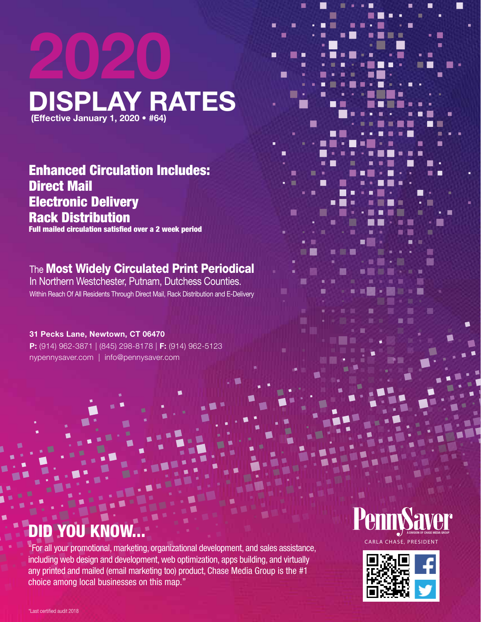# **2020 DISPLAY RATES (Effective January 1, 2020 • #64)**

П

1 E

Г

Enhanced Circulation Includes: Direct Mail Electronic Delivery Rack Distribution

Full mailed circulation satisfied over a 2 week period

### **The Most Widely Circulated Print Periodical**

In Northern Westchester, Putnam, Dutchess Counties. Within Reach Of All Residents Through Direct Mail, Rack Distribution and E-Delivery

#### **31 Pecks Lane, Newtown, CT 06470**

**P:** (914) 962-3871 | (845) 298-8178 | **F:** (914) 962-5123 nypennysaver.com | info@pennysaver.com

# DID YOU KNOW...

"For all your promotional, marketing, organizational development, and sales assistance, including web design and development, web optimization, apps building, and virtually any printed and mailed (email marketing too) product, Chase Media Group is the #1 choice among local businesses on this map."

# A DIVISION OF CHASE MEDIA GROUP

Г

г

m

П

CARLA CHASE, PRESIDENT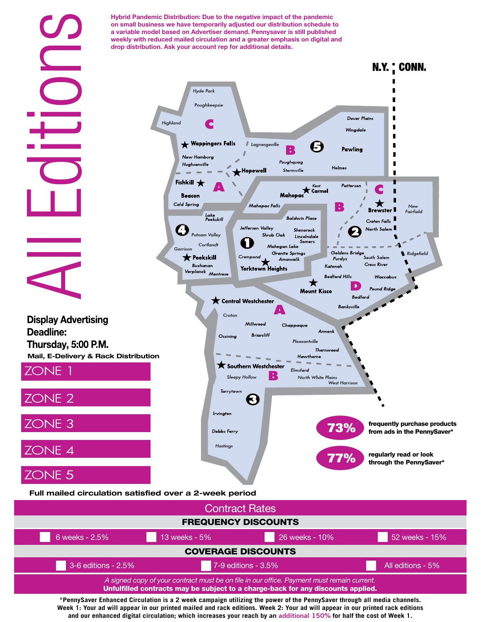

**\*PennySaver Enhanced Circulation is a 2 week campaign utilizing the power of the PennySaver through all media channels. Week 1: Your ad will appear in our printed mailed and rack editions. Week 2: Your ad will appear in our printed rack editions and our enhanced digital circulation; which increases your reach by an additional 150% for half the cost of Week 1.**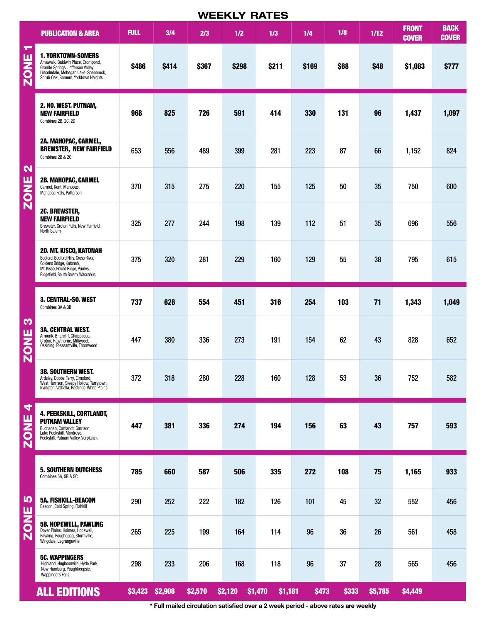|                                  | <b>WEEKLY RATES</b>                                                                                                                                                                  |                 |       |         |         |                    |              |       |         |                              |                             |
|----------------------------------|--------------------------------------------------------------------------------------------------------------------------------------------------------------------------------------|-----------------|-------|---------|---------|--------------------|--------------|-------|---------|------------------------------|-----------------------------|
|                                  | <b>PUBLICATION &amp; AREA</b>                                                                                                                                                        | <b>FULL</b>     | 3/4   | 2/3     | 1/2     | 1/3                | 1/4          | 1/8   | 1/12    | <b>FRONT</b><br><b>COVER</b> | <b>BACK</b><br><b>COVER</b> |
| ┯<br>ш<br><b>NSS</b>             | <b>1. YORKTOWN-SOMERS</b><br>Amawalk, Baldwin Place, Crompond,<br>Granite Springs, Jefferson Valley,<br>Lincolndale, Mohegan Lake, Shenorock,<br>Shrub Oak, Somers, Yorktown Heights | <b>\$486</b>    | \$414 | \$367   | \$298   | \$211              | \$169        | \$68  | \$48    | \$1,083                      | \$777                       |
| $\mathbf{\Omega}$<br><b>ZONE</b> | 2. NO. WEST. PUTNAM,<br><b>NEW FAIRFIELD</b><br>Combines 2B, 2C, 2D                                                                                                                  | 968             | 825   | 726     | 591     | 414                | 330          | 131   | 96      | 1,437                        | 1,097                       |
|                                  | 2A. MAHOPAC, CARMEL,<br><b>BREWSTER, NEW FAIRFIELD</b><br>Combines 2B & 2C                                                                                                           | 653             | 556   | 489     | 399     | 281                | 223          | 87    | 66      | 1,152                        | 824                         |
|                                  | 2B. MAHOPAC, CARMEL<br>Carmel, Kent, Mahopac,<br>Mahopac Falls, Patterson                                                                                                            | 370             | 315   | 275     | 220     | 155                | 125          | 50    | 35      | 750                          | 600                         |
|                                  | <b>2C. BREWSTER,</b><br><b>NEW FAIRFIELD</b><br>Brewster, Croton Falls, New Fairfield,<br>North Salem                                                                                | 325             | 277   | 244     | 198     | 139                | 112          | 51    | 35      | 696                          | 556                         |
|                                  | <b>2D. MT. KISCO, KATONAH</b><br>Bedford, Bedford Hills, Cross River,<br>Goldens Bridge, Katonah,<br>Mt. Kisco, Pound Ridge, Purdys,<br>Ridgefield, South Salem, Waccabuc            | 375             | 320   | 281     | 229     | 160                | 129          | 55    | 38      | 795                          | 615                         |
| S<br><b>ZONE</b>                 | 3. CENTRAL-SO. WEST<br>Combines 3A & 3B                                                                                                                                              | 737             | 628   | 554     | 451     | 316                | 254          | 103   | 71      | 1,343                        | 1,049                       |
|                                  | <b>3A. CENTRAL WEST.</b><br>Armonk, Briarcliff, Chappaqua,<br>Croton, Hawthorne, Millwood,<br>Ossining, Pleasantville, Thornwood                                                     | 447             | 380   | 336     | 273     | 191                | 154          | 62    | 43      | 828                          | 652                         |
|                                  | <b>3B. SOUTHERN WEST.</b><br>Ardsley, Dobbs Ferry, Elmsford,<br>West Harrison, Sleepy Hollow, Tarrytown,<br>Irvington, Valhalla, Hastings, White Plains                              | 372             | 318   | 280     | 228     | 160                | 128          | 53    | 36      | 752                          | 582                         |
| 4<br><b>ZONE</b>                 | 4. PEEKSKILL, CORTLANDT,<br><b>PUTNAM VALLEY</b><br>Buchanan, Cortlandt, Garrison,<br>Lake Peekskill, Montrose,<br>Peekskill, Putnam Valley, Verplanck                               | 447             | 381   | 336     | 274     | 194                | 156          | 63    | 43      | 757                          | 593                         |
| <b>LC</b><br>ZONE                | <b>5. SOUTHERN DUTCHESS</b><br>Combines 5A, 5B & 5C                                                                                                                                  | 785             | 660   | 587     | 506     | 335                | 272          | 108   | 75      | 1,165                        | 933                         |
|                                  | <b>5A. FISHKILL-BEACON</b><br>Beacon, Cold Spring, Fishkill                                                                                                                          | 290             | 252   | 222     | 182     | 126                | 101          | 45    | 32      | 552                          | 456                         |
|                                  | <b>5B. HOPEWELL, PAWLING</b><br>Dover Plains, Holmes, Hopewell,<br>Pawling, Poughquag, Stormville,<br>Wingdale, Lagrangeville                                                        | 265             | 225   | 199     | 164     | 114                | 96           | 36    | 26      | 561                          | 458                         |
|                                  | <b>5C. WAPPINGERS</b><br>Highland, Hughsonville, Hyde Park,<br>New Hamburg, Poughkeepsie,<br><b>Wappingers Falls</b>                                                                 | 298             | 233   | 206     | 168     | 118                | 96           | 37    | 28      | 565                          | 456                         |
|                                  | <b>ALL EDITIONS</b>                                                                                                                                                                  | \$3,423 \$2,908 |       | \$2,570 | \$2,120 | \$1,470<br>\$1,181 | <b>\$473</b> | \$333 | \$5,785 | \$4,449                      |                             |

**\* Full mailed circulation satisfied over a 2 week period - above rates are weekly**